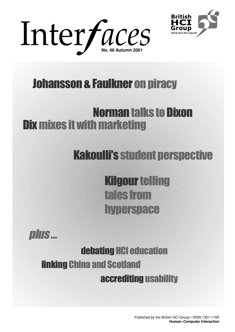



# Johansson & Faulkner on piracy

# Dix mixes it with marketing **Norman talks to Dixon**

# Kakoulli's student perspective

Kilgour telling tales from **hyperspace** 



# accrediting usability debating HCI education linking China and Scotland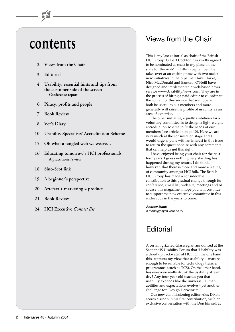# **contents**

- **2 Views from the Chair**
- **3 Editorial**
- **4 Usability: essential hints and tips from the customer side of the screen Conference report**
- **6 Piracy, profits and people**
- **7 Book Review**
- **8 Vet's Diary**
- **10 Usability Specialists' Accreditation Scheme**
- **15 Oh what a tangled web we weave…**
- **16 Educating tomorrow's HCI professionals A practitioner's view**
- **18 Sino-Scot link**
- **19 A beginner's perspective**
- **20 Artefact + marketing = product**
- **21 Book Review**
- **24 HCI Executive** *Contact list*

## Views from the Chair

This is my last editorial as chair of the British HCI Group. Gilbert Cockton has kindly agreed to be nominated as chair in my place on the slate for the AGM in Lille in September. He takes over at an exciting time with two major new initiatives in the pipeline. Dave Clarke, Nico MacDonald and Eamonn O'Neill have designed and implemented a web-based news service www.UsabilityNews.com. They are in the process of hiring a paid editor to co-ordinate the content of this service that we hope will both be useful to our members and more generally will raise the profile of usability as an area of expertise.

The other initiative, equally ambitious for a voluntary committee, is to design a light-weight accreditation scheme to fit the needs of our members (see article on page 10). Here we are very much at the consultation stage and I would urge anyone with an interest in this issue to return the questionnaire with any comments that can help us get this right.

I have enjoyed being your chair for the past four years. I guess nothing very startling has happened during my tenure. I do think, however, that there is more and more a feeling of community amongst HCI folk. The British HCI Group has made a considerable contribution to this gradual change through its conference, email list, web site, meetings and of course this magazine. I hope you will continue to support the new executive committee in this endeavour in the years to come.

#### **Andrew Monk**

a.monk@psych.york.ac.uk

## **Editorial**

A certain grizzled Glaswegian announced at the ScotlandIS Usability Forum that 'Usability was a dried up backwater of HCI'. On the one hand this supports my view that usability is mature enough to be suitable for technology transfer programmes (such as TCS). On the other hand, has everyone really drunk the usability stream dry? Any four-year-old teaches you that usability expands like the universe. Human abilities and expectations evolve – yet another challenge for 'Design Darwinism'!

Our new commissioning editor Alex Dixon scores a scoop in his first contribution, with an exclusive conversation with the Don himself at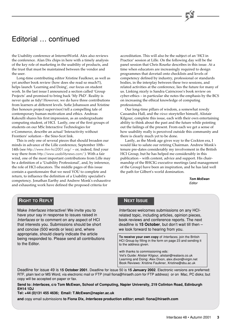## Editorial … continued

the Usability conference at InternetWorld. Alex also reviews the conference. Alan Dix chips in here with a timely analysis of the key role of marketing in the usability of products, and the trust that must be maintained between the vendor and  $the *user*$ 

Long-time contributing editor Xristine Faulkner, as well as yet another book review (how does she read so much?!), helps launch 'Learning and Doing', our focus on student work. In the last issue I announced a section called 'Group Projects' and promised to bring back 'My PhD'. Reality is never quite as tidy! However, we do have three contributions from learners at different levels. Sofie Johansson and Xristine (her honours project supervisor) tell a compelling tale of contemporary human motivation and ethics. Andreas Kakoulli shares his first impression, as an undergraduate computing student, of HCI. Lastly, one of the first groups of students on our MSc Interactive Technologies for e-Commerce, describe an actual 'Interactivity without Frontiers' solution – the Sino-Scot link.

This is only one of several pieces that should broaden our minds in advance of the Lille conference, September 10th– 14th (see http://www.ihm-hci2001.org/ – or, indeed, find your way there from http://www.usabilitynews.com/ ). With a fair wind, one of the most important contributions from Lille may be a definition of a 'Usability Professional', and, by inference, the role of HCI educators. The middle pages of this issue contain a questionnaire that we need YOU to complete and return, to influence the definition of a Usability specialist's competency. Jonathan Earthy and Andrew Monk's exhaustive and exhausting work have defined the proposed criteria for

accreditation. This will also be the subject of an 'HCI in Practice' session at Lille. On the following day will be the panel session that Chris Rourke describes in this issue. At a time when educators are increasingly required to design programmes that dovetail onto checklists and levels of competency defined by industry, professional or standards bodies, in the interplay between these two sessions, and related activities at the conference, lies the future for many of us. Linking nicely is Sandra Cairncross's book review on cyber-ethics – in particular she notes the emphasis by the BCS on increasing the ethical knowledge of computing professionals.

Our long-time pillars of wisdom, a somewhat rowdy Cassandra Hall, and the *vieux* storyteller himself, Alistair Kilgour, complete this issue, each with their own entertaining ability to think about the past and the future while pointing out the failings of the present. From each we get a sense of how usability really is perceived outside this community and there is clearly much yet to be done.

Lastly, as the Monk age gives way to the Cockton era, I would like to salute our retiring Chairman. Andrew Monk's tenure pre-dates considerably my involvement in the British HCI Group, but he has helped me considerably in this publication – with content, advice and support. His chairmanship of the BHCIG executive meetings (and management of the Group) have been an inspiration, and he has laid well the path for Gilbert's world domination.

> **Tom McEwan** Editor

### **RIGHT TO REPLY**

Make Interfaces interactive! We invite you to have your say in response to issues raised in Interfaces or to comment on any aspect of HCI that interests you. Submissions should be short and concise (500 words or less) and, where appropriate, should clearly indicate the article being responded to. Please send all contributions to the Editor.

### **NEXT ISSUE**

Interfaces welcomes submissions on any HCIrelated topic, including articles, opinion pieces, book reviews and conference reports. The next deadline is **15 October**, but don't wait till then – we look forward to hearing from you.

**To receive your own copy** of Interfaces, join the British HCI Group by filling in the form on page 23 and sending it to the address given.

with thanks to commissioning eds: Vet's Guide: Alistair Kilgour, alistair@realaxis.co.uk Learning and Doing: Alex Dixon, alex.dixon@virgin.net Book Reviews: Xristine Faulkner, Xristine@sbu.ac.uk

Deadline for issue 49 is **15 October 2001**. Deadline for issue 50 is **15 January 2002**. Electronic versions are preferred: RTF, plain text or MS Word, via electronic mail or FTP (mail fiona@hiraeth.com for FTP address) or on Mac, PC disks; but copy will be accepted on paper or fax.

**Send to: Interfaces, c/o Tom McEwan, School of Computing, Napier University, 219 Colinton Road, Edinburgh EH14 1DJ**

**Tel: +44 (0)131 455 4636; Email: T.McEwan@napier.ac.uk**

**and** copy email submissions **to Fiona Dix, Interfaces production editor; email: fiona@hiraeth.com**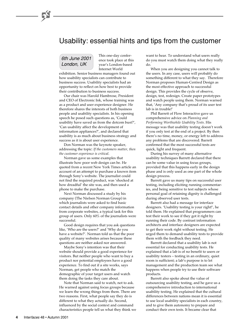### Usability: essential hints and tips from the customer

### 6th June 2001 London, UK

This one-day conference took place at this year's London-based Internet World

exhibition. Senior business managers found out how usability specialists can contribute to business success. Usability specialists had an opportunity to reflect on how best to provide their contribution to business success.

Our chair was Harold Hambrose, President and CEO of Electronic Ink, whose training was as a product and user experience designer. He therefore shares the interests of both business people and usability specialists. In his opening speech he posed such questions as, 'Could usability have saved us from the dotcom bust?', 'Can usability affect the development of information appliances?', and declared that usability is as much about business strategy and success as it is about user experience.

Don Norman was the keynote speaker, addressing the topic: *If the customers matter, then the customer experience is critical*.

Norman gave us some examples that illustrate how poor web design can be. He quoted from a recent New York Times article an account of an attempt to purchase a known item through Sony's website. The journalist could not find the required product, was 'shocked at how dreadful' the site was, and then used a phone to make the purchase.

Next Norman discussed a study by his company (The Nielsen Norman Group) in which journalists were asked to find basic contact details and other company information from corporate websites, a typical task for this group of users. Only 60% of the journalists were successful.

Good design requires that you ask questions like, 'Who are the users?' and 'Why do you have a website?'. Norman told us that the poor quality of many websites arises because these questions are neither asked nor answered.

Maybe Sony's intention was that their website should provide a good experience for visitors. But neither people who want to buy a product nor potential employees have a good experience. To find out if a site works, says Norman, get people who match the demographic of your target users and watch them doing the tasks they care about.

Note that Norman said to watch, not to ask. He warned against using focus groups because we learn the wrong things from them. There are two reasons. First, what people say they do is different to what they actually do. Second, influenced by the social context and command characteristics people tell us what they think we want to hear. To understand what users really do you must watch them doing what they really do.

When you are designing you cannot talk to the users. In any case, users will probably do something different to what they say. Therefore Norman proposes Human-Centred Design as the most effective approach to successful design. This provides the cycle of observe, design, test, redesign. Create paper prototypes and watch people using them. Norman warned that, 'Any company that's proud of its user test lab is in trouble!'

Phil Barrett of Flow Interactive gave us comprehensive advice on *Planning and Performing Worthwhile Usability Tests*. His message was that usability testing doesn't work if you only test at the end of a project. By then there's no time, money, or energy left to address any problems that are discovered. Barrett confirmed that the most successful tests are quick, light and frequent.

During his survey of many alternative usability techniques Barrett declared that there can be some value in using focus groups, provided that this happens early in the design phase and is only used as one part of the whole design process.

Barrett gave us many tips on successful user testing, including eliciting running commentaries, and being sensitive to test subjects whose personal goal of retaining dignity is challenged during observed user tests.

Barrett also had a message for interface designers. 'Usability testing is your right!', he told them. He explained that programmers can test their work to see if they got it right by running their code. By contrast information architects and interface designers are expected to get their work right without testing. He urged them to demand usability tests to provide them with the feedback they need.

Barrett declared that a usability lab is not essential for conducting usability tests. He explained that a lab is of no benefit to users or usability testers – testing in an ordinary, quiet room is sufficient; a lab's purpose is to let management and the production team see what happens when people try to use their software products.

Barrett also spoke about the value of outsourcing usability testing, and he gave us a comprehensive introduction to international usability testing. He explained that the cultural differences between nations mean it is essential to use local usability specialists in each country, and to give them autonomy to prepare and conduct their own tests. It became clear that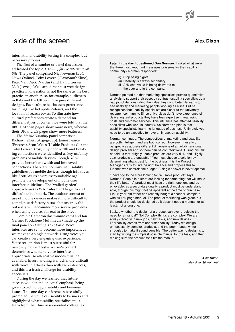### side of the screen

international usability testing is a complex, but necessary process.

The first of a number of panel discussions addressed the topic, *Usability for the International Site*. The panel comprised Nic Newman (BBC News Online), Toby Lovern (GlaxoSmithKline), Peter Van Dijck (Vardus) and David Gerken (Ask Jeeves). We learned that best web design practice in one nation is not the same as the best practice in another, so, for example, audiences in Italy and the UK would require different designs. Each culture has its own preferences for things like hot spots, colours, and the location of search boxes. To illustrate how cultural preferences create a demand for different styles of content we were told that the BBC's African pages show more news, whereas their UK and US pages show more features.

The *Mobile Usability* panel comprised Richard Jelbert (Argogroup), James Pearce (Encerca), Scott Weiss (Usable Products Co) and Toby Lovern. Cost, tiny bandwidth and breaking connections were identified as key usability problems of mobile devices, though 3G will provide better bandwidth and improved connections. There are no universal usability guidelines for mobile devices, though initiatives like Scott Weiss's wirelessroundtable.org promote the development of mobile user interface guidelines. The 'walled garden' approach makes WAP sites hard to get to and difficult to bookmark. The outdoor context of use of mobile devices makes it more difficult to complete satisfactory tests; lab tests are valid, but users will encounter more severe problems when using devices for real in the street.

Dominic Cameron (lastminute.com) and Ian Germer (Vodafone Multimedia) made up the final panel on *Finding Your Voice*. Voice interfaces are set to become more important as we move to a single network. Using voice you can create a very engaging user experience. Voice recognition is most successful for narrowly defined tasks. A user's context determines whether a voice interface is appropriate, so alternative modes must be available. Error handling is much more difficult with voice interfaces than with web interfaces, and this is a fresh challenge for usability specialists.

During the day we learned that future success will depend on equal emphasis being given to technology, usability and business issues. This one-day conference successfully promoted the value of usability to business and highlighted what usability specialists must learn from their business-oriented colleagues.

### **Alex Dixon**

**Later in the day I questioned Don Norman**. I asked what were the three most important messages or issues for the usability community? Norman responded:

- (i) Stop being bigots
- (ii) Usability is always secondary
- (iii) Ask what value is being delivered to the user and to the company.

Norman pointed out that marketing specialists provide quantitative analysis to support their case; by contrast usability specialists do a bad job of demonstrating the value they contribute. He wants to see usability and marketing people working as allies. But he recognises that usability specialists are closer to the university research community. Since universities don't have experience of delivering real products they have less expertise in managing costs and customer services. This influence has affected usability specialists who work in industry. So Norman's plea is that usability specialists learn the language of business. Ultimately you need to be an executive to have an impact on usability.

Norman continued. The perspectives of marketing and usability are both intelligent and are both correct. However, these two perspectives address different dimensions of a multidimensional design problem and so there can be contradictions. During his talk he told us that, 'Highly usable products are very dull,' and 'Highly sexy products are unusable.' You must choose a solution by determining what's best for the business. It is the Project Manager's duty to find the right balance and propose this to Finance who controls the budget. A single answer is never optimal.

'I never go to the store looking for "a usable product"' says Norman. People in a store are looking for something that will make their life better. A product must have the right functions and be enjoyable; as a secondary quality a product must be understandable, though this might not be apparent at the time of purchase. His 98-year-old father had recently bought a scanner, complete with its 150-page manual. The product marketing was great, but the product should be designed so it doesn't need a manual, or at least, not a long one.

I asked whether the design of a product can ever eradicate the need for a manual? No! Complex things are complex! We are always faced with new jobs, new tasks, and new devices. Learnability comes from understandability. Today we design unnecessarily complex products, and the poor manual writer struggles to make it sound sensible. The better way to design is to start by writing the simplest possible manual for the task, and then making sure the product itself fits the manual.

> **Alex Dixon** alex.dixon@virgin.net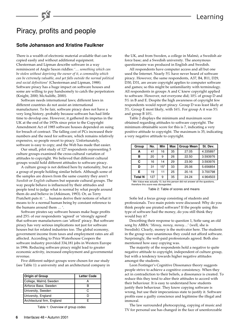# Piracy, profits and people

### **Sofie Johansson and Xristine Faulkner**

There is a wealth of electronic material available that can be copied easily and without additional equipment. Chesterman and Lipman describe software in a way reminiscent of Anglo Saxon riddles: '… *something which can be stolen without depriving the owner of it, a commodity which can be extremely valuable, and yet falls outside the normal political and social definitions*' (Chesterman and Lipman, 1988). Software piracy has a huge impact on software houses and some are willing to pay handsomely to catch the perpetrators (Knight, 2000; McAuliffe, 2000).

Software needs international laws; different laws in different countries do not assist an international manufacturer. To be fair, software piracy does not have a very long history, probably because software has had little time to develop one. However, it gathered its impetus in the UK at the end of the 1970s since prior to the Copyright Amendment Act of 1985 software houses depended on suing for breach of contract. The falling cost of PCs increased their numbers and the need for software, which remains relatively expensive, so people resort to piracy. Unfortunately, software is easy to copy; and the Web has made that easier.

Our small, pilot study of 127 respondents representing 5 culture groups examined the cross-cultural variation of attitudes to copyright. We believed that different cultural groups would hold different attitudes to software piracy.

A culture group is not defined here by nationality, but as a group of people holding similar beliefs. Although some of the samples are drawn from the same country they aren't *Swedish* or *English* cultures but separate cultural groups. The way people behave is influenced by their attitudes and people tend to judge what is normal by what people around them do and believe in (Atkinson, 1993). Or, as Terry Pratchett puts it: '… humans derive their notions of what it means to *be* a normal human being by constant reference to the humans around them … '.

Software pirates say software houses make huge profits and 25% of our respondents 'agreed' or 'strongly agreed' that software manufacturers can 'afford' piracy. But software piracy has very serious implications not just for software houses but for related industries too. The global economy, government income from taxes and employment rates are all affected. According to Price Waterhouse Coopers the software industry provided 334,181 jobs in Western Europe in 1996. Reducing software piracy might lead to greater economic activity, increased employment and governmental revenue.

Five different subject groups were chosen for our study (see Table 1): a university and an architectural company in

| Origin of Group             | <b>Letter Code</b> |
|-----------------------------|--------------------|
| College, Malmö Sweden       |                    |
| Airforce Base, Sweden       |                    |
| University, Sweden          | C                  |
| University, England         |                    |
| Architectural firm, England |                    |

Table 1: Overview of group codes

the UK, and from Sweden, a college in Malmö, a Swedish air force base; and a Swedish university. The anonymous questionnaire was produced in English and Swedish.

All respondents have computer access and all but one used the Internet. Nearly 5% have never heard of software piracy. However, the same respondents, A37, B4, B11, D29, D30, D31, are aware copyright applies to computer software and games; so this might be unfamiliarity with terminology. All respondents in groups A and C knew copyright applied to software. However, not everyone did; 10% of group D and 5% in B and E. Despite the high awareness of copyright few respondents would report piracy. Group D was least likely at 3%. Group E most likely, with 16%. For group A it was 5% and group B 10%.

Table 2 displays the minimum and maximum score obtained regarding attitudes to software copyright. The minimum obtainable score for this is 7, indicating a very positive attitude to copyright. The maximum is 35, indicating a very negative attitude to copyright.

| Group          | No. | Min   | <b>Max</b> | <b>Group Mean</b> | St. Dev. |
|----------------|-----|-------|------------|-------------------|----------|
|                | 41  | 16    | 35         | 27.05             | 4.335897 |
| в              | 20  | 9     | 26         | 22.50             | 3.593976 |
| C              | 16  | 14    | 29         | 23.90             | 3.593976 |
| D              | 31  | $15*$ | 33         | 25.06             | 5.656854 |
| Е              | 19  | 11    | 25         | 20.16             | 3.700798 |
| <b>Total N</b> | 127 | 9     | 35         | 24.24             | 4.964503 |

\* Min Value was actually 10, but this person did not answer all the questions, therefore this score was disregarded.

Table 2: Table of scores and means

Sofie led a focus group consisting of students and professionals. Two main points were discussed: Why do you think people use pirated software? If the people using this type of software had the money, do you still think they would buy it?

Describing their response to question 1, Sofie sang an old song by ABBA: '*Money, money, money*…' (well, she is Swedish). Clearly, money is the motivator here. The students in the group were unanimous they could not afford software. Surprisingly, the well-paid professionals agreed. Both also mentioned how easy copying was.

The majority of the respondents hold a negative to quite negative attitude to copyright, independent of culture group, but with a tendency towards higher negative attitudes amongst the students.

Leon Festinger's Cognitive Dissonance theory suggests people strive to achieve a cognitive consistency. When they act in contradiction to their beliefs, a dissonance is created. To reduce this they tend to alter their attitudes to accord with their behaviour. It is easy to understand how students justify their behaviour. They know copying software is wrong, but use their impecunious state to justify it. Software profits ease a guilty conscience and legitimise the illegal and immoral.

The law surrounded photocopying, copying of music and TV for personal use has changed in the face of unenforceable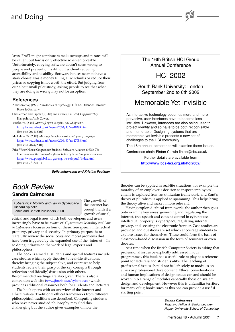## and Doing

laws. FAST might continue to make swoops and pirates will be caught but law is only effective when enforceable. Unfortunately, copying software doesn't seem wrong to people and prevention is difficult without reducing accessibility and usability. Software houses seem to have a stark choice: waste money tilting at windmills or reduce their prices so copying is not worth the effort. But judging from our albeit small pilot study, asking people to see that what they are doing is wrong may not be an option.

### **References**

Atkinson et al, (1993). *Introduction to Psychology*. 11th Ed. Orlando: Harcourt Brace & Company.

Chesterman and Lipman, (1988), in Gurnsey, G (1995). *Copyright Theft*. Hampshire: Aslib Gower.

Knight, W. (2000). *Microsoft offers to replace pirated software*. <http://www.zdnet.co.uk/news/2000/40/ns-18368.html> (last visit 20/4/2001)

McAuliffe, W. (2000). *Microsoft launches massive anti piracy campaign*. <http://www.zdnet.co.uk/news/2000/30/ns-17058.html> (last visit 20/4/2001)

Price Water House Coopers for Business Software Alliance, (1998). *The Contribution of the Packaged Software Industry to the European Economies.* [http://www.pwcglobal.co./gx/eng/ins-sol/publ/index.html](http://www.pwcglobal.co.uk/gx/eng/ins-sol/publ/index.html) (last visit 2/3/2001)

**Sofie Johansson and Xristine Faulkner**

### Book Review **Sandra Cairncross**

Cyberethics: Morality and Law in Cyberspace Richard Spinello Jones and Bartlett Publishers 2000

The growth of the internet has brought with it a growth of social,

ethical and legal issues which both developers and users increasingly have to be aware of. *Cyberethics: Morality and Law in Cyberspace* focuses on four of these: free speech, intellectual property, privacy and security. Its primary purpose is to 'carefully review the social costs and moral problems that have been triggered by the expanded use of the [internet]'. In so doing it draws on the work of legal experts and philosophers.

The book is aimed at students and special features include case studies which apply theories to real-life situations, thereby bringing the subject alive, and exercises to help students review their grasp of the key concepts through reflection and (ideally) discussion with others. Recommended readings are also given. There is also a companion web-site ([www.jbpub.com/cyberethics](http://www.jbpub.com/cyberethics/)) which provides additional resources both for students and lecturers.

The book opens with an overview of the internet and ethical values. Traditional ethical frameworks from different philosophical traditions are described. Computing students who have never studied philosophy may find this challenging but the author gives examples of how the

The 16th British HCI Group Annual Conference

# HCI 2002

South Bank University: London September 2nd to 6th 2002

# Memorable Yet Invisible

As interactive technology becomes more and more pervasive, user interfaces have to become less intrusive. However, interfaces are also being used to project identity and so have to be both recognisable and memorable. Designing systems that are memorable yet invisible presents a new set of challenges to the HCI community.

The 16th annual conference will examine these issues.

Conference chair: Fintan Culwin fintan@sbu.ac.uk

Further details are available from

**<http://www.bcs-hci.org.uk/hci2002/>**

theories can be applied in real-life situations, for example the morality of an employer's decision to inspect employees' emails is explored from an utilitarian framework, and Kant's theory of pluralism is applied to spamming. This helps bring the theory alive and make it more relevant.

Having explored ethical frameworks the author then goes onto examine key areas: governing and regulating the internet, free speech and content control in cyberspace, intellectual property is cyberspace, regulating internet privacy, and securing the electronic frontier. Case studies are provided and questions are set which encourage students to explore issues for themselves. These could form the basis of classroom-based discussion in the form of seminars or even debates.

At a time when the British Computer Society is asking that professional issues be explicitly addressed in our programmes, this book has a useful role to play as a reference point for lecturers and students alike. The teaching of professional issues should not be left solely to modules on ethics or professional development. Ethical considerations and human implications of design issues can and should be woven into a range of modules especially those on system design and development. However this is unfamiliar territory for many of us; books such as this one can provide a useful starting point.

> **Sandra Cairncross** Teaching Fellow & Senior Lecturer Napier University School of Computing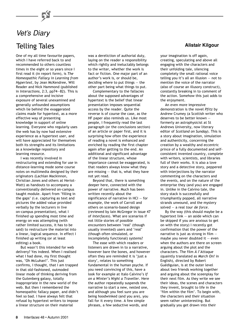# Vet's Diary Telling Tales

One of my all time favourite papers, which I have referred back to and recommended to others countless times in the eight or so years since I first read it (in report form), is *The Homeopathic Fallacy in Learning from Hypertext*, by Jean McKendree, Will Reader and Nick Hammond (published in *Interactions*, 2:3, pp74—82). This is a comprehensive and incisive exposure of several unexamined and generally unfounded assumptions which lie behind the exaggerated claims made for hypertext, as a more effective way of presenting knowledge in support of online learning. Everyone who regularly uses the web has by now had extensive experience as a hypertext user, and will have appreciated for themselves both its strengths and its limitations as a knowledge repository and learning resource.

I was recently involved in restructuring and extending for use in distance-learning mode some course notes on multimedia designed by their originators (Lachlan Mackinnon, Christian Jones and others at Heriot-Watt) as handouts to accompany a conventionally delivered on-campus taught module. Apart from 'filling in the gaps' (i.e. capturing as text and pictures the added value provided verbally by the lecturers in live on-campus presentation), what I finished up spending most time and energy on was attempting (with rather limited success, it has to be said) to restructure the material into a linear, logical sequence. In effect I finished up writing (or at least editing) a book.

But wasn't this intended for web delivery? Yes indeed. When I realised what I had done, my first thought was, 'Oh McLuhan!'. This just confirms, I thought, that I am trapped in that old-fashioned, outmoded linear mode of thinking deriving from the Gutenberg galaxy, totally inappropriate in the new world of the web. But then I remembered the homeopathic fallacy paper, and didn't feel so bad. I have always felt that refusal by hypertext writers to impose a linear structure on their material

was a dereliction of authorial duty, laying on the reader a responsibility which rightly and ineluctably belongs to the writer, whether the work is fact or fiction. One major part of an author's work is, or should be, deciding where to put things — the other part being what things to put.

Complementary to the fallacies about the supposed advantages of hypertext is the belief that linear presentation imposes sequential access by the reader. Quite the reverse is of course the case, as the HF paper also reminds us. Like most people, I frequently read the last paragraph (or the conclusions section) of an article or paper first, and it is surprising how often the experience of reading a novel is enhanced and enriched by reading the first chapter again after getting to the end. An additional and significant advantage of the linear structure, whose importance cannot be exaggerated, is that readers always know what they are missing  $-$  that is, what they have not yet read.

Beyond that, there is something deeper here, connected with the power of narrative. Much has been written recently about the significance of narrative in HCI — for example, the work of Carroll and others on scenario-based design (reviewed by Iain McGregor in issue 47 of *Interfaces*). What are scenarios if not little stories of possible encounters between 'real' (though usually invented) users and 'real' (though often simulated, or incompletely functional) systems?

The ease with which readers or listeners are drawn in to a narrative, however bare the bones, and however often they are reminded it is 'just a story', relates to something fundamental in the human psyche. If you need convincing of this, have a look for example at Italo Calvino's *If on a Winter's Night a Traveller*. Here the author repeatedly suspends the narrative to start a new, nested one, and although you feel sure you are being hoodwinked (and you are), you fall for it every time. A few simple phrases, a few seductive words, and

### **Alistair Kilgour**

your imagination is off again, creating, speculating and above all engaging with the characters and their unfolding tale, silencing completely the small rational voice telling you it's all an illusion — not to mention the voice of the narrator (also of course an illusory construct), constantly breaking in to comment of the action. Somehow this just adds to the enjoyment.

An even more impressive demonstration is the novel *Pfitz* by Andrew Crumey (a Scottish writer who deserves to be better known formerly an astrophysicist at St Andrews University, now literary editor of *Scotland on Sunday*). This is a story about imagination, simulation and authenticity, concerning the creation by a wealthy and eccentric prince of a fully documented and selfconsistent invented country, complete with writers, scientists, and libraries full of their works. It is also a love story and a detective story, peppered with interjections by the narrator commenting on the characters and the events, and on the nature of the enterprise they (and you) are engaged in. Unlike in the Calvino tale, the story stack is successfully and triumphantly popped, all narrative strands unwound, and the mystery solved — a real *tour de force*.

By the way (this should maybe be a hypertext link — an aside which can be skipped if you are anxious to get on with the story) I recently got confirmation that the power of the narrative is just as strong in film maybe you never doubted it  $-$  even when the authors are there on screen arguing about the plot and the characters. The film *À l'Attaque* (quaintly translated as *March On!* in English), directed by Robert Guédiguian, is at the outer level about two friends working together and arguing about the sceenplay for their next film. As they write we see their ideas, the scenes and characters they invent, brought to life in the 'film within the film'. To begin with, the characters and their situation seem rather uninteresting. But gradually you get drawn into their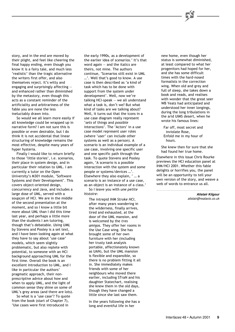story, and in the end are moved by their plight, and feel like cheering the final happy ending, even though you know it is a fairy tale, and much less 'realistic' than the tragic alternative the writers first offer, and also themselves reject. It's witty and engaging and surprisingly affecting and enhanced rather than diminished by the metastory, even though this acts as a constant reminder of the artificiality and arbitrariness of the fable you are none the less

ineluctably drawn into. So would we all learn more easily if all knowledge could be wrapped up in narrative form? I am not sure this is possible or even desirable, but I do think it is not accidental that linear structuring of knowledge remains the most effective, despite many years of hyper hysteria.

Finally I would like to return briefly to those 'little stories', i.e. scenarios, their place in system design, and in particular their relation to UML. I am currently a tutor on the Open University's M301 module, 'Software Systems and their Development'. This covers object-oriented design, concurrency and Java, and includes a large dose of UML, served with a soupçon of HCI. We are in the middle of the second presentation at the moment, and so I know a little bit more about UML than I did this time last year, and perhaps a little more than the students I am tutoring, though that's debatable. *Using UML* by Stevens and Pooley is a set text, and I have been looking again at what they have to say about 'use case' models, which seem slightly problematic, but also replete with potential, to someone with an HCI background approaching UML for the first time. Overall the book is an excellent introduction to UML, and I like in particular the authors' pragmatic approach, their nonprescriptive advice about how and when to apply UML, and the light of common sense they shine on some of UML's grey areas (and there are lots).

So what is a 'use case'? To quote from the book (start of Chapter 7), 'Use cases were first introduced in

the early 1990s, as a development of the earlier idea of *scenarios*.' It's that word again — and the italics are theirs, not mine. The authors continue, 'Scenarios still exist in UML …'. Well that's good to know. A use case is then described as 'a kind of task which has to be done with support from the system under development'. Well, now we're talking HCI-speak — we all understand what a task is, don't we? But what kind of tasks are we talking about? Well, it turns out that the icons in a use case diagram really represent '*sets* of things and *possible* interactions'. The 'Actors' in a use case model represent user roles (where 'user' can include other systems as well as a person). A scenario is an individual example of a use case, involving one specific user and one specific path through the task. To quote Stevens and Pooley again, 'A scenario is a possible interaction with the system and some people or systems/devices …'. Elsewhere they also explain, ' … a scenario is an instance of a use case, as an object is an instance of a class.'

So I leave you with *une petite histoire*:

The intrepid *IHM Stroke HCI*, after many years wandering in the wilderness, finally arrives, tired and exhausted, at the door of the UML mansion, and is welcomed by the *tres amigos*. They offer her rooms in the Use Case wing. She has brought some of her own furniture with her (including her trusty task analysis portable, affectionately known as UAN), but the UML mansion is flexible and expansible, so there is no problem fitting it all in. She immediately makes friends with some of her neighbours who moved there earlier, including STraN and his daughter Statechart, realising she knew them in the old days, though they have changed a little since she last saw them.

In the years following she has a long and eventful life in her

new home, even though her status is somewhat diminished, at least compared to what her progenitors had hoped for her, and she has some difficult times with the hard-nosed formalists in the correction wing. When old and grey and full of sleep, she takes down a book and reads, and realises with wonder that the great seer WB Yeats had anticipated and understood her inner longings, during the long tribulations in the arid UIMS desert, when he wrote his famous lines:

Far off, most secret and inviolate Rose, Enfold me in my hour of hours.

She knew then for sure that she had found her true home.

Elsewhere in this issue Chris Rourke previews the HCI education panel at IHM/HCI 2001. Whether this fable delights or horrifies you, the panel will be an opportunity to tell your own version of the story, and weave a web of words to entrance us all.

> **Alistair Kilgour** alistair@realaxis.co.uk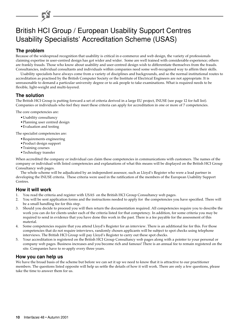# British HCI Group / European Usability Support Centres Usability Specialists' Accreditation Scheme (USAS)

### **The problem**

Because of the widespread recognition that usability is critical in e-commerce and web design, the variety of professionals claiming expertise in user-centred design has got wider and wider. Some are well trained with considerable experience; others are frankly frauds. Those who know about usability and user-centred design wish to differentiate themselves from the frauds. Consultancies, individual consultants and individuals within companies need some well-recognised way to affirm their skills.

Usability specialists have always come from a variety of disciplines and backgrounds, and so the normal institutional routes to accreditation as practised by the British Computer Society or the Institute of Electrical Engineers are not appropriate. It is unreasonable to demand a particular university degree or to ask people to take examinations. What is required needs to be flexible, light-weight and multi-layered.

### **The solution**

The British HCI Group is putting forward a set of criteria derived in a large EU project, INUSE (see page 12 for full list). Companies or individuals who feel they meet these criteria can apply for accreditation in one or more of 7 competencies.

The core competencies are:

- •Usability consultancy
- •Planning user centred design
- •Evaluation and testing

The specialist competencies are:

- •Requirements engineering
- •Product design support
- •Training courses
- •Technology transfer

When accredited the company or individual can claim these competencies in communications with customers. The names of the company or individual with listed competencies and explanations of what this means will be displayed on the British HCI Group Consultancy web pages.

The whole scheme will be adjudicated by an independent assessor, such as Lloyd's Register who were a lead partner in developing the INUSE criteria. These criteria were used in the ratification of the members of the European Usability Support Centres.

### **How it will work**

- 1. You read the criteria and register with USAS on the British HCI Group Consultancy web pages.
- 2. You will be sent application forms and the instructions needed to apply for the competencies you have specified. There will be a small handling fee for this step.
- 3. Should you decide to proceed you will then return the documentation required. All competencies require you to describe the work you can do for clients under each of the criteria listed for that competency. In addition, for some criteria you may be required to send in evidence that you have done this work in the past. There is a fee payable for the assessment of this material.
- 4. Some competencies require that you attend Lloyd's Register for an interview. There is an additional fee for this. For those competencies that do not require interviews, randomly chosen applicants will be subject to spot checks using telephone interviews. The British HCI Group will pay Lloyd's Register to carry out these spot checks.
- 5. Your accreditation is registered on the British HCI Group Consultancy web pages along with a pointer to your personal or company web pages. Business increases and you become rich and famous! There is an annual fee to remain registered on the site. Companies have to re-apply every three years.

### **How you can help us**

We have the broad basis of the scheme but before we can set it up we need to know that it is attractive to our practitioner members. The questions listed opposite will help us settle the details of how it will work. There are only a few questions, please take the time to answer them for us.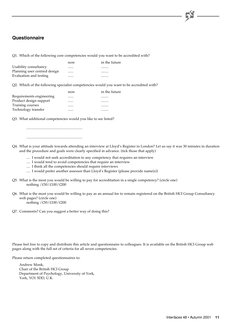### **Questionnaire**

Q1. Which of the following core competencies would you want to be accredited with?

|                              | now | in the future |
|------------------------------|-----|---------------|
| Usability consultancy        |     |               |
| Planning user centred design |     |               |
| Evaluation and testing       |     |               |

Q2. Which of the following specialist competencies would you want to be accredited with?

|                          | now | in the future |
|--------------------------|-----|---------------|
| Requirements engineering |     |               |
| Product design support   |     |               |
| Training courses         |     |               |
| Technology transfer      |     | .             |

Q3. What additional competencies would you like to see listed?

.............................................................

.............................................................

Q4. What is your attitude towards attending an interview at Lloyd's Register in London? Let us say it was 30 minutes in duration and the procedure and goals were clearly specified in advance. (tick those that apply)

- .... I would not seek accreditation to any competency that requires an interview
- .... I would tend to avoid competencies that require an interview
- .... I think all the competencies should require interviews
- .... I would prefer another assessor than Lloyd's Register (please provide name(s))
- Q5. What is the most you would be willing to pay for accreditation in a single competency? (circle one) nothing /£50/£100/£200
- Q6. What is the most you would be willing to pay as an annual fee to remain registered on the British HCI Group Consultancy web pages? (circle one) nothing /£50/£100/£200
- Q7. Comments? Can you suggest a better way of doing this?

Please feel free to copy and distribute this article and questionnaire to colleagues. It is available on the British HCI Group web pages along with the full set of criteria for all seven competencies.

Please return completed questionnaires to:

Andrew Monk, Chair of the British HCI Group Department of Psychology, University of York, York, YO1 5DD, U.K.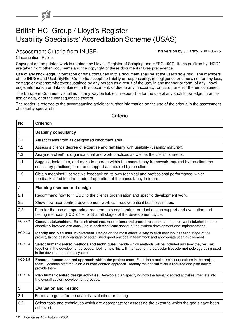# British HCI Group / Lloyd's Register Usability Specialists' Accreditation Scheme (USAS)

### Assessment Criteria from INUSE This version by J Earthy, 2001-06-25

Classification: Public.

6

Copyright on the printed work is retained by Lloyd's Register of Shipping and HFRG 1997. Items prefixed by "HCD" are taken from other documents and the copyright of these documents takes precedence.

Use of any knowledge, information or data contained in this document shall be at the user's sole risk. The members of the INUSE and UsabilityNET Consortia accept no liability or responsibility, in negligence or otherwise, for any loss, damage or expense whatever sustained by any person as a result of the use, in any manner or form, of any knowledge, information or data contained in this document, or due to any inaccuracy, omission or error therein contained.

The European Community shall not in any way be liable or responsible for the use of any such knowledge, information or data, or of the consequences thereof.

The reader is referred to the accompanying article for further information on the use of the criteria in the assessment of usability specialists.

### **No Criterion** 1 **Usability consultancy** 1.1 | Attract clients from its designated catchment area. 1.2 Assess a client's degree of expertise and familiarity with usability (usability maturity). 1.3 Analyse a client' s organisational and work practices as well as the client' s needs. 1.4 Suggest, instantiate, and make to operate within the consultancy framework required by the client the necessary practices, tools, and support as required by the client. 1.5 **Collation** Dobtain meaningful corrective feedback on its own technical and professional performance, which feedback is fed into the mode of operation of the consultancy in future. 2 **Planning user centred design** 2.1 Recommend how to fit UCD to the client's organisation and specific development work. 2.2 Show how user centred development work can resolve critical business issues. 2.3 Plan for the use of appropriate requirements engineering, product design support and evaluation and testing methods (HCD 2.1 – 2.6) at all stages of the development cycle. HCD.2.2 **Consult stakeholders**. Establish structures, mechanisms and procedures to ensure that relevant stakeholders are effectively involved and consulted in each significant aspect of the system development and implementation. HCD.2.3 **Identify and plan user involvement**. Decide on the most effective way to elicit user input at each stage of the project, taking best advantage of established good practice in team work and appropriate user involvement. HCD.2.4 **Select human-centred methods and techniques**. Decide which methods will be included and how they will link together in the development process. Define how this will interface to the particular lifecycle methodology being used in the development of the system. HCD.2.5 **Ensure a human-centred approach within the project team**. Establish a multi-disciplinary culture in the project team. Maintain staff focus on a human-centred approach. Identify the specialist skills required and plan how to provide them. HCD.2.6 **Plan human-centred design activities**. Develop a plan specifying how the human-centred activities integrate into the overall system development process. **3 g Evaluation and Testin** 3.1 Formulate goals for the usability evaluation or testing. 3.2 Select tools and techniques which are appropriate for assessing the extent to which the goals have been achieved.

### **Criteria**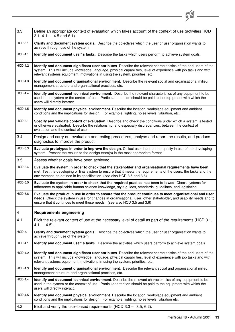

| 3.3                     | Define an appropriate context of evaluation which takes account of the context of use (activities HCD<br>$3.1, 4.1 - 4.5$ and 6.1).                                                                                                                                                                                    |
|-------------------------|------------------------------------------------------------------------------------------------------------------------------------------------------------------------------------------------------------------------------------------------------------------------------------------------------------------------|
| <b>HCD.3.1</b>          | Clarify and document system goals. Describe the objectives which the user or user organisation wants to<br>achieve through use of the system.                                                                                                                                                                          |
| <b>HCD.4.1</b>          | Identify and document user's tasks. Describe the tasks which users perform to achieve system goals.                                                                                                                                                                                                                    |
| <b>HCD.4.2</b>          | Identify and document significant user attributes. Describe the relevant characteristics of the end-users of the<br>system. This will include knowledge, language, physical capabilities, level of experience with job tasks and with<br>relevant systems equipment, motivations in using the system, priorities, etc. |
| <b>HCD.4.3</b>          | Identify and document organisational environment. Describe the relevant social and organisational milieu,<br>management structure and organisational practices, etc.                                                                                                                                                   |
| <b>HCD.4.4</b>          | Identify and document technical environment. Describe the relevant characteristics of any equipment to be<br>used in the system or the context of use. Particular attention should be paid to the equipment with which the<br>users will directly interact.                                                            |
| <b>HCD.4.5</b>          | Identify and document physical environment. Describe the location, workplace equipment and ambient<br>conditions and the implications for design. For example, lighting, noise levels, vibration, etc.                                                                                                                 |
| <b>HCD.6.1</b>          | Specify and validate context of evaluation. Describe and check the conditions under which a system is tested<br>or otherwise evaluated. Describe the relationship, and especially discrepancies, between the context of<br>evaluation and the context of use.                                                          |
| 3.4                     | Design and carry out evaluation and testing procedures, analyse and report the results, and produce<br>diagnostics to improve the product.                                                                                                                                                                             |
| <b>HCD.6.3</b>          | Evaluate prototypes in order to improve the design. Collect user input on the quality in use of the developing<br>system. Present the results to the design team(s) in the most appropriate format.                                                                                                                    |
| 3.5                     | Assess whether goals have been achieved.                                                                                                                                                                                                                                                                               |
| <b>HCD.6.4</b>          | Evaluate the system in order to check that the stakeholder and organisational requirements have been<br>met. Test the developing or final system to ensure that it meets the requirements of the users, the tasks and the<br>environment, as defined in its specification. (see also HCD 3.5 and 3.6)                  |
| <b>HCD.6.5</b>          | Evaluate the system in order to check that the required practice has been followed. Check systems for<br>adherence to applicable human science knowledge, style guides, standards, guidelines, and legislation.                                                                                                        |
| <b>HCD.6.6</b>          | Evaluate the product in use in order to ensure that the product continues to meet organisational and user<br>needs. Check the system in use for changes in organisational, user, other stakeholder, and usability needs and to<br>ensure that it continues to meet these needs. (see also HCD 3.5 and 3.6)             |
| $\overline{\mathbf{4}}$ | <b>Requirements engineering</b>                                                                                                                                                                                                                                                                                        |
| 4.1                     | Elicit the relevant context of use at the necessary level of detail as part of the requirements (HCD 3.1,<br>$4.1 - 4.5$ ).                                                                                                                                                                                            |
| <b>HCD.3.1</b>          | Clarify and document system goals. Describe the objectives which the user or user organisation wants to<br>achieve through use of the system.                                                                                                                                                                          |
| <b>HCD.4.1</b>          | Identify and document user's tasks. Describe the activities which users perform to achieve system goals.                                                                                                                                                                                                               |
| <b>HCD.4.2</b>          | Identify and document significant user attributes. Describe the relevant characteristics of the end-users of the<br>system. This will include knowledge, language, physical capabilities, level of experience with job tasks and with<br>relevant systems equipment, motivations in using the system, priorities, etc. |
| <b>HCD.4.3</b>          | Identify and document organisational environment. Describe the relevant social and organisational milieu,<br>management structure and organisational practices, etc.                                                                                                                                                   |
| <b>HCD.4.4</b>          | Identify and document technical environment. Describe the relevant characteristics of any equipment to be<br>used in the system or the context of use. Particular attention should be paid to the equipment with which the<br>users will directly interact.                                                            |
| <b>HCD.4.5</b>          | Identify and document physical environment. Describe the location, workplace equipment and ambient<br>conditions and the implications for design. For example, lighting, noise levels, vibration etc.                                                                                                                  |
| 4.2                     | Elicit and verify the user-based requirements (HCD $3.3 - 3.5, 6.2$ ).                                                                                                                                                                                                                                                 |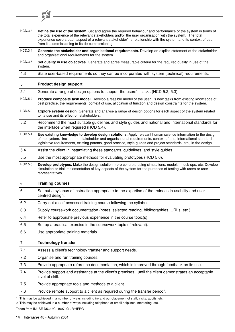| <b>HCD.3.3</b> | Define the use of the system. Set and agree the required behaviour and performance of the system in terms of<br>the total experience of the relevant stakeholders and/or the user organisation with the system. The total<br>experience covers each aspect of a relevant stakeholder' s relationship with the system and its context of use<br>from its commissioning to its de-commissioning. |
|----------------|------------------------------------------------------------------------------------------------------------------------------------------------------------------------------------------------------------------------------------------------------------------------------------------------------------------------------------------------------------------------------------------------|
| HCD.3.4        | Generate the stakeholder and organisational requirements. Develop an explicit statement of the stakeholder<br>and organisational requirements for the system.                                                                                                                                                                                                                                  |
| <b>HCD.3.5</b> | Set quality in use objectives. Generate and agree measurable criteria for the required quality in use of the<br>system.                                                                                                                                                                                                                                                                        |
| 4.3            | State user-based requirements so they can be incorporated with system (technical) requirements.                                                                                                                                                                                                                                                                                                |
| 5              | <b>Product design support</b>                                                                                                                                                                                                                                                                                                                                                                  |
| 5.1            | Generate a range of design options to support the users'<br>tasks (HCD 5.2, 5.3).                                                                                                                                                                                                                                                                                                              |
| <b>HCD.5.2</b> | Produce composite task model. Develop a feasible model of the user' s new tasks from existing knowledge of<br>best practice, the requirements, context of use, allocation of function and design constraints for the system.                                                                                                                                                                   |
| <b>HCD.5.3</b> | Explore system design. Generate and analyse a range of design options for each aspect of the system related<br>to its use and its effect on stakeholders.                                                                                                                                                                                                                                      |
| 5.2            | Recommend the most suitable guidelines and style guides and national and international standards for<br>the interface when required (HCD 5.4).                                                                                                                                                                                                                                                 |
| <b>HCD.5.4</b> | Use existing knowledge to develop design solutions. Apply relevant human science information to the design<br>of the system. Include the stakeholder and organisational requirements, context of use, international standards,<br>legislative requirements, existing patents, good practice, style guides and project standards, etc., in the design.                                          |
| 5.4            | Assist the client in instantiating these standards, guidelines, and style guides.                                                                                                                                                                                                                                                                                                              |
| 5.5            | Use the most appropriate methods for evaluating prototypes (HCD 5.6).                                                                                                                                                                                                                                                                                                                          |
| <b>HCD.5.6</b> | Develop prototypes. Make the design solution more concrete using simulations, models, mock-ups, etc. Develop<br>simulation or trial implementation of key aspects of the system for the purposes of testing with users or user<br>representatives                                                                                                                                              |
| 6              | <b>Training courses</b>                                                                                                                                                                                                                                                                                                                                                                        |
| 6.1            | Set out a syllabus of instruction appropriate to the expertise of the trainees in usability and user<br>centred design.                                                                                                                                                                                                                                                                        |
| 6.2            | Carry out a self-assessed training course following the syllabus.                                                                                                                                                                                                                                                                                                                              |
| 6.3            | Supply coursework documentation (notes, selected reading, bibliographies, URLs, etc.).                                                                                                                                                                                                                                                                                                         |
| 6.4            | Refer to appropriate previous experience in the course topic(s).                                                                                                                                                                                                                                                                                                                               |
| 6.5            | Set up a practical exercise in the coursework topic (if relevant).                                                                                                                                                                                                                                                                                                                             |
| 6.6            | Use appropriate training materials.                                                                                                                                                                                                                                                                                                                                                            |
| 7              | <b>Technology transfer</b>                                                                                                                                                                                                                                                                                                                                                                     |
| 7.1            | Assess a client's technology transfer and support needs.                                                                                                                                                                                                                                                                                                                                       |
| 7.2            | Organise and run training courses.                                                                                                                                                                                                                                                                                                                                                             |
| 7.3            | Provide appropriate reference documentation, which is improved through feedback on its use.                                                                                                                                                                                                                                                                                                    |
| 7.4            | Provide support and assistance at the client's premises <sup>1</sup> , until the client demonstrates an acceptable<br>level of skill.                                                                                                                                                                                                                                                          |
| 7.5            | Provide appropriate tools and methods to a client.                                                                                                                                                                                                                                                                                                                                             |
| 7.6            | Provide remote support to a client as required during the transfer period <sup>2</sup> .                                                                                                                                                                                                                                                                                                       |
|                |                                                                                                                                                                                                                                                                                                                                                                                                |

the control of the control of the control of

1. This may be achieved in a number of ways including in- and out-placement of staff, visits, audits, etc.

2. This may be achieved in a number of ways including telephone or email helplines, mentoring, etc.

Taken from INUSE D5.2.3C, 1997. © LR/HFRG

 $-5$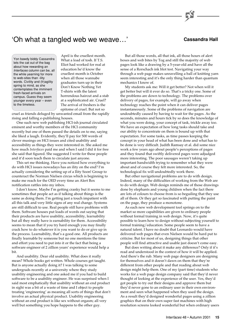### 'Oh what a tangled web we weave...' **Cassandra Hall**

Yon bawdy biddy Cassandra lets the cat out of the bag about how rewarding an Interfaces column can be, all the while yearning for more to web-sites than -ility words. Civility and (fr)agility spring to mind, as she contemplates the imminent fresh-faced arrivals on campus. Guess they seem younger every year – even to the timeless.

April is the cruellest month. What a load of tosh. If T.S. Eliot had worked for real at education he'd know the cruellest month is October when all those wannabe graduates turn up in their Don't Know Nothing Yet T-shirts with the latest horrendous haircut and a stab at a sophisticated air. Cruel? The arrival of freshers is the epitome of cruel. But not so

cruel as friends deluged by unwanted email from the rapidly rising and falling e-publishing houses.

One such new web publishing HCI-ish journal circulated eminent and worthy members of the HCI community recently but one of them passed the details on to me, saying she liked a laugh. Evidently, they'll pay for 500 words of clever musings on HCI issues and cited usability and accessibility as things they were interested in. She asked me how much *Interfaces* paid me and when I said I did it for free she said that figured. She suggested I write for these people and it'd soon teach them to circulate just anyone.

This set me thinking. Have you noticed how everything to do with HCI issues nowadays has an ility on the end? I'm actually considering the setting up of a Ility Soon! Group to counteract the Norman Nielsen circus which is beginning to make me reach for the OED every time an Alert Box notification rattles into my inbox.

I don't know. Maybe I'm getting cranky but it seems to me sometimes that people act as if talking about things is the same as doing them. I'm getting just a touch impatient with all this talk and very little signs of any real change. Systems are still difficult to use. Real people still have problems with them. Software houses put loads of words out saying that their products are have usability, accessibility, learnability but all they really have is earnability for them. Accessibility seems to mean that if you try hard enough you may finally crack how to do whatever it is you want to do or give up in the process. Learnability, that's a good one. All products are finally learnable by someone but no one mentions the time and effort you need to put into it or the fact that being a software engineer of 2 zillion years' experience would help a bit.

And usability. Dear old usability. What does it really mean? Whole books get written. Whole courses get taught. But is anyone actually doing it? I was talking to some undergrads recently at a university where they study usability engineering and one asked me if you had to build software to be a usability engineer. He was surprised when I said most emphatically that usability without an end product in sight was a bit of a waste of time and I object to people treating 'engineering' as meaning all sorts of things that don't involve an actual physical product. Usability engineering without an end product is like sex without orgasm; all very well but something you hope happens to the other guy.

But all those words, all that ink, all those hours of alert boxes and web bites by Tog and still the majority of web pages look like a drawing by a 5-year-old and have all the sense of a Rorschach ink blot test. Navigating your way through a web page makes unravelling a ball of knitting yarn seem interesting and it's the only thing harder than quantum mechanics I know of.

My students ask me: Will it get better? Not when will it get better but will it ever do so. That's a tricky one. Some of the problems are down to technology. The problems over delivery of pages, for example, will go away when technology reaches the point when it can deliver pages instantaneously. Some of the problems of navigation are undoubtedly caused by having to wait for the pages. As the seconds, minutes and hours tick by so does the knowledge of what you were doing, your concept of task, trickle away too. We have an expectation of how long tasks should take and our ability to concentrate on them is bound up with that expectation. For some tasks, as time passes keeping the concept in your head of what has been done and what has to be done is very difficult. Judith Ramsay et al. did some nice work a few years ago about people's perceptions of pages and they found that swiftly delivered pages were adjudged more interesting. The poor sausages weren't taking up important bandwidth trying to remember what they were about and of course they felt more interested. So, the technological fix will undoubtedly work there.

But other navigational problems are to do with design. Indeed, many of the difficulties of working from the Web are to do with design. Web design reminds me of those drawings done by elephants and young children when the fact there are lots of colours to choose from is so beguiling that they use all of them. Or they get so fascinated with putting the paint on the page, they produce a monotone.

As each new web development tool springs on to the market so more capabilities are given to ordinary people without formal training in web design. Now, it's quite possible to learn how to design without subjecting yourself to formal training/education. Some people seem to have a natural talent. I have no doubt that Leonardo would have delivered web pages that even Nielsen would be hard put to criticise. But for most of us, designing things that other people will find attractive and usable just doesn't come easy.

But does writing about it make any difference? Only if it's read and understood in the context of how it will be applied. And there's the rub. Many web page designers are designing for themselves and it doesn't dawn on them that they're different from other people and that reading about web design might help them. One of my (part time) students who works for a web page design company said that they'd never thought of looking at the experience of the user. Yes, they'd got people to try out their designs and approve them but they'd never gone to an ordinary user in their own environment and seen what happened when they used the design. As a result they'd designed wonderful pages using a zillion graphics that on their own super fast machines with high resolution screens looked wonderful but when ordinary users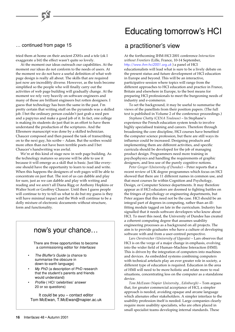tried them at home on their ancient ZX81s and a tele (ok I exaggerate a bit) the effect wasn't quite so lovely.

At the moment our ideas outreach our capabilities. At the moment our ideas do not conform to the needs of users. At the moment we do not have a useful definition of what web page design is really all about. The skills that are required just now are incredibly diverse. However, as the tools become simplified so the people who will finally carry out the activities of web page building will gradually change. At the moment we rely very heavily on software engineers and many of those are brilliant engineers but rotten designers. I guess that technology has been the same in the past. I'm pretty certain that writing stuff on the pyramids was a skilled job. I bet the ordinary person couldn't just grab a reed pen and a papyrus and make a good job of it. In fact, one college is making its students do just that in an effort to have them understand the production of the scriptures. And the Ellesmere manuscript was done by a skilled technician. Chaucer composed and then passed the task of transcribing on to the next guy, his scribe – Adam. But the scribes would more often than not have been terrible poets and I bet Chaucer's handwriting was awful.

We're at this kind of stage now in web page building. As the technology matures so anyone will be able to use it because it will emerge as a skill that is basic. Just like everyone should have the opportunity to learn to read and write. When this happens the designers of web pages will be able to concentrate on just that. The rest of us can dabble and play for sure, just as we can dabble and play with writing and reading and we aren't all Diana Rigg or Anthony Hopkins or Walter Scott or Geoffrey Chaucer. Until then I guess people will continue to try to tell us what to do but my guess is they will have minimal impact and the Web will continue to be a dolly mixture of electronic documents without structure, form and functionality.

### now's your chance…

There are three opportunities to become a commissioning editor for Interfaces

- • The Bluffer's Guide (a chance to summarise the obscure in down-to-earth language)
- •My PhD (a description of PhD research that the student's parents and friends would understand)
- • Profile ( HCI 'celebrities' answer 20 or so questions)

It could be you – contact editor Tom McEwan, T.McEwan@napier.ac.uk

# Educating tomorrow's HCI

### ... continued from page 15 a metal continued from page 15

At the forthcoming IHM-HCI 2001 conference *Interaction without Frontiers* (Lille, France, 10-14 September, [http://www.ihm-hci2001.org.uk](http://www.ihm-hci2001.org) ) a panel of HCI educationalists will lead what is sure to be a lively debate on the present status and future development of HCI education in Europe and beyond. This will be an interactive, participative session where topics will range from the different approaches to HCI education and practice in France, Britain and elsewhere in Europe, to the best means for preparing HCI professionals to meet the burgeoning needs of industry and e-commerce.

To set the background, it may be useful to summarise the views of the panellists from their position papers. (The full text is published in Volume 2 of the conference proceedings.)

*Stephane Chatty (CENA Toulouse)* – In Stephane's experience the French education system tends to involve highly specialised training and careers. Therefore through broadening the core discipline, HCI courses have benefited the computer science profession, but there are still ways its influence could be increased. Designing products and implementing them are different activities, and specific curricula should be developed for the job of managing product design. Programmers need more training in psychophysics and handling the requirements of graphic designers, and less use of the purely cognitive notions.

*Peter Gregor (University of Dundee)* – Peter reports that a recent review of UK degree programmes which focus on HCI showed that there are 11 different names in common use, and that most courses lie within Cognition and Psychology, Design, or Computer Science departments. It may therefore appear as if HCI educators are doomed to fighting battles on the fringes of psychology or engineering departments, but Peter argues that this need not be the case. HCI should be an integral part of degrees in computing, rather than an illfitting module tagged on late in the curriculum. Industry has signalled that it needs software developers who know about HCI. To meet this need, the University of Dundee has created a coherent computing degree that assumes usability engineering processes as a background on all projects. The aim is to provide graduates who have a culture of developing software with and from a user-centred perspective.

*Lars Oerstreicher (University of Uppsala)* – Lars observes that HCI is on the verge of a major change in emphasis, evolving into the wider field of Human–Machine Interaction (HMI). This is driven by the integration of computers into machines and devices. As embedded systems combining computers with technical artefacts play an ever greater role in society, a different type of education is required. Education in the area of HMI will need to be more holistic and relate more to real situations, concentrating less on the computer as a standalone device.

*Tom McEwan (Napier University , Edinburgh)* – Tom argues that, for greater commercial acceptance of HCI, a simpler approach is needed, avoiding opaque and arcane language which alienates other stakeholders. A simpler interface to the usability profession itself is needed. Large companies clearly require more usability specialists, who are often placed in small specialist teams developing internal standards. These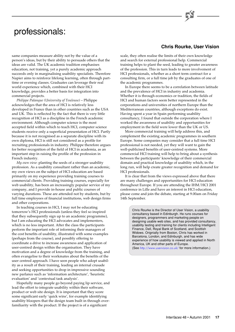# professionals:

same companies measure ability not by the value of a person's ideas, but by their ability to persuade others that the ideas are valid. The UK academic tradition emphasises education, not training, yet a purely academic approach succeeds only in marginalising usability specialists. Therefore Napier aims to reinforce lifelong learning, often through parttime or evening classes. Graduates can leverage their real world experience which, combined with their HCI knowledge, provides a better basis for integration into commercial projects.

*Philippe Palanque (University of Toulouse)* – Philippe acknowledges that the area of HCI is relatively less developed in France than in other countries such as the USA and UK. This is reflected by the fact that there is very little recognition of HCI as a discipline in the French academic environment. Although computer science is the most accepted field within which to teach HCI, computer science students receive only a superficial presentation of HCI. Partly because it is not recognised as a separate discipline with its own diploma, HCI is still not considered as a profile for recruiting professionals in industry. Philippe therefore argues for better recognition of the field of HCI in academia, as an important step in raising the profile of the profession in French industry.

*My own view*: planting the seeds of a stronger usability profession. As a usability consultant rather than an academic, my own views on the subject of HCI education are based primarily on my experience providing training courses to commercial clients. Providing training courses, especially for web usability, has been an increasingly popular service of my company, and I provide in-house and public courses of varying durations. These are attended not by students, but by full time employees of financial institutions, web design firms and other corporations.

In teaching courses in HCI, I may not be educating tomorrow's HCI professionals (unless they feel so inspired that they subsequently sign up to an academic programme), but I am educating the HCI advocates and implementers, which is no less important. After the class the participants perform the important role of informing their managers of the cost benefits of usability, illustrated with some examples (perhaps from the course), and possibly offering to coordinate a drive to increase awareness and application of user-centred design within the organisation. They have motivation and a degree of knowledge from the training, and often evangelise to their workmates about the benefits of the user centred approach. I have seen people who adopt usability as a result of their training, leading an internal crusade and seeking opportunities to drop in impressive sounding new parlance such as 'information architecture', 'heuristic evaluation' and 'contextual task analysis'.

Hopefully many people go beyond paying lip service, and lead the effort to integrate usability within their software, product or web site design. It is important that they score some significant early 'quick wins', for example identifying usability bloopers that the design team built in through overfamiliarity with the product. If the project is of a significant

### **Chris Rourke, User Vision**

scale, they often realise the limits of their own knowledge and search for external professional help. Commercial training helps to plant the seed, leading to greater awareness of the profession. This in turn leads to more involvement of HCI professionals, whether as a short term contract for a consulting firm, or a full time job by the graduates of one of the academic programmes.

In Europe there seems to be a correlation between latitude and the prevalence of HCI in industry and academia. Whether it is through economics or tradition, the fields of HCI and human factors seem better represented in the corporations and universities of northern Europe than the Mediterranean countries, although exceptions do exist. Having spent a year in Spain performing usability consultancy, I found that outside the corporation where I worked the awareness of usability and opportunities for employment in the field were lower than the UK or US.

More commercial training will help address this, and complement the existing academic programmes in southern Europe. Some companies may consider that a full time HCI professional is not needed, yet they will want to gain the well-publicised benefits of user-centred systems. More commercial HCI training will help to bring about a synthesis between the participants' knowledge of their commercial domain and practical knowledge of usability which, in the long run, will help create greater recognition and demand for HCI professionals.

It is clear that from the views expressed above that there are many challenges and opportunities for HCI education throughout Europe. If you are attending the IHM/HCI 2001 conference in Lille and have an interest in HCI education, please come and join the debate, starting at 9.00am on Friday 14th September.

> Chris Rourke is the Director of User Vision, a usability consultancy based in Edinburgh. He runs courses for designers, programmers and marketing people on designing usable web sites, and has provided consultancy, usability testing and training for clients including Intelligent Finance, Dell, Royal Bank of Scotland, and Scottish Widows. Orignially from Boston, Chris has worked in Barcelona, London, and Edinburgh, and has wide experience of how usability is viewed and applied in North America, UK and other parts of Europe. (See <http://www.uservision.co.uk/> for more information.)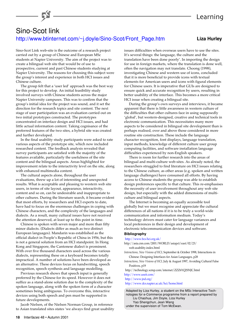**Liza Hurley**

### Sino-Scot link [http://www.btinternet.com/~j.doyle/Sino-Scot/Front\\_Page.htm](http://www.btinternet.com/~j.doyle/Sino-Scot/Front_Page.htm)

Sino-Scot Link web-site is the outcome of a research project carried out by a group of Chinese and European MSc students at Napier University. The aim of the project was to create a bilingual web site that would be of use to prospective, current and past Chinese students studying at Napier University. The reasons for choosing this subject were the group's interest and experience in both HCI issues and Chinese culture.

The group felt that a 'user led' approach was the best way for this project to develop. An initial feasibility study involved surveys with Chinese students across the major Napier University campuses. This was to confirm that the group's initial idea for the project was sound, and it set the direction for the research topics and site content. The next stage of user participation was an evaluation carried out on two initial prototypes constructed. The prototypes concentrated on interface design and HCI issues, and had little actual information content. Taking cognisance of the preferred features of the two sites, a hybrid site was created and further developed.

In the final usability study participants were asked to rate various aspects of the prototype site, which now included researched content. The feedback analysis revealed that survey participants are satisfied with the majority of the features available, particularly the usefulness of the site content and the bilingual aspects. Areas highlighted for improvement relate to the interactivity level on the site, along with enhanced multimedia content.

The cultural aspects alone, throughout the user evaluations, threw up a lot of interesting and unexpected results. What is acceptable and pleasing to western web site users, in terms of site layout, appearance, interactivity, content and so on, can be undesirable and inappropriate to other cultures. During the literature search, it became evident that most efforts, by researchers and HCI experts to date, have had to focus on the enormous challenges in coping with Chinese characters, and the complexity of the languages and dialects. As a result, many cultural issues have not received the attention deserved, at least up to this point in time.

Chinese is spoken with seven major and more than fifty minor dialects. (Dialects differ as much as two distinct European languages). Mandarin was established as the official dialect in People's Republic of China in 1956, but this is not a general solution from an HCI standpoint. In Hong Kong and Singapore, the Cantonese dialect is prominent. With over five thousand characters used across the various dialects, representing these on a keyboard becomes totally impractical. A number of solutions have been developed as an alternative. These devices focus on handwriting, speech recognition, speech synthesis and language modelling.

Previous research shows that speech input is generally preferred by the Chinese for its speed. However it does not suffice as a stand-alone solution due to the complexity of the spoken language, along with the spoken form of a character sometimes being ambiguous. To overcome this, interactive devices using both speech and pen must be supported in future developments.

Jacob Nielsen, of the Nielsen Norman Group, in reference to Asian translated sites states 'we always find great usability issues difficulties when overseas users have to use the sites. It's several things: the language, the culture and the translation have been done poorly'. In importing the design for use in foreign markets, where the translation is done well, often the navigation may not translate. Choong (1998), investigating Chinese and western use of icons, concluded that it is more beneficial to provide icons with textual elements for American users and icons with figural elements for Chinese users. It is imperative that GUIs are designed to ensure quick and accurate recognition by users, resulting in better usability of the interface. This becomes a more critical HCI issue when creating a bilingual site.

During the group's own surveys and interviews, it became apparent that there is little awareness in western culture of the difficulties that other cultures face in using supposedly 'global', but western-designed, creative and technical tools in electronic communication. This necessitates many more aspects to be considered in bilingual site development than is perhaps realised, over and above those considered in more routine site construction. These include the language character recognition, font displays, language translation, input methods, knowledge of different culture user group computing facilities, and software installation language difficulties experienced by non-English speakers.

There is room for further research into the areas of bilingual and multi-culture web-sites. As already noted, the researchers struggled to find literature on HCI issues relating to the Chinese culture, as other areas (e.g. spoken and written language challenges) have consumed all efforts. By having access to Chinese students the group was able to establish design preferences specific to that culture. This re-emphasises the necessity of user involvement throughout any web site design, but especially with the added dimensions of multiculture and bilingual aspects.

The Internet is becoming an equally accessible tool globally but we must recognise and appreciate the cultural differences of all nations if it is to be truly a world-wide communication and information medium. Today's technology drivers must cater for language variances and local preferences in their design and development of electronic telecommunication devices and software.

#### **Bibliography**

#### <http://www.bcs-hci.org.uk/>

- http://asia.cnn.com/2001/WORLD/asiapct/east/02/23/ web.usability.index.html
- *Interactions, New Visions of HCI*, September & October 1998, Interactions in Chinese: Designing Interfaces for Asian Languages, p28
- *Interactions, New Visions of HCI*, July & August 1997, Avoiding Cultural False Positives, p19
- http://technology.scmp.com/internet/ZZZ6YQ2SNJC.html <http://www.useit.com/>

#### <http://www.jnd.org/>

<http://www.dcs.napier.ac.uk/hci/home.html>

Adapted by Liza Hurley, a student on the MSc Interactive Technologies for e-Commerce programme from a report prepared by Liu Chaohua, Jim Doyle, Liza Hurley Yao Shengchun, Jean Wang

under the supervision of Tom McEwan.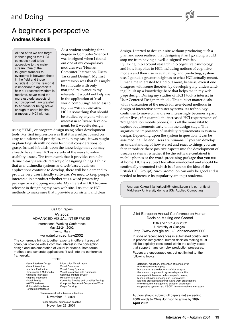## A beginner's perspective **Andreas Kakoulli**

All too often we can forget in these pages that HCI concepts need to be accessible to the mainstream. One of the toughest frontiers to overcome is between those in the field and those outside it. For this reason it is important to appreciate how our received wisdom is received, never mind the more esoteric aspects of our discipline! I am grateful to Andreas for being brave enough to share his first glimpses of HCI with us.

As a student studying for a degree in Computer Science I was intrigued when I found out one of my compulsory modules was 'Human Computer Interaction, Users Tasks and Design'. My first impression was that this might be a module with only marginal relevance to my interests. It would not help me in the application of 'realworld computing'. Needless to say this was not the case. HCI is something that should be studied by anyone with an interest in software development, be it website design

using HTML, or program design using other development tools. My first impression was that it is a subject based on easy-to-understand principles, and, in my case, it was taught in plain English with no new technical considerations to grasp. Instead it builds upon the knowledge that you may already have. I see HCI as a study of the ways to solve usability issues. The framework that it provides can help define clearly a structured way of designing things. I think that as multimedia systems and web-based business applications continue to develop, there will be a demand to provide very user friendly software. We need to keep people interested in a product whether it is a word processing package or a shopping web site. My interest in HCI became relevant in designing my own web site. I try to use HCI methods to make sure that I provide a consistent and clear

> Call for Papers AVI2002 ADVANCED VISUAL INTERFACES International Working Conference May 22-24, 2002 Trento, Italy www.diel.univaq.it/avi2002

The conference brings together experts in different areas of computer science with a common interest in the conception, design and implementation of visual interfaces. Both formal methods and concrete applications fit well into the conference framework.

TOPICS

Visual Interaction Interface Evaluation Visual Query Systems<br>
Hypermedia & Multimedia Visual Interaction with Adaptive Interfaces<br>Virtual Reality Perceptual Interfaces

Visual Interface Design Information Visualization<br>Visual Interaction Visual Databases Visual Interaction with Databases Animated Interfaces<br>
Adaptive Interfaces<br>
Metaphor Analysis<br>
Metaphor Analysis Virtual Reality Controlled Studies and Usability Testing<br>WWW interfaces Computer Supported Cooperative Work WWW interfaces Computer Supported Cooperative Work<br>Multimodal Interfaces Graph Drawing Graph Drawing

> Electronic abstract submission deadline November 18, 2001

Paper proposal submission deadline November 23, 2001

design. I started to design a site without producing such a plan and soon realised that designing it as I go along would stop me from having a 'well-designed' website. By taking into account research into cognitive psychology and how it applies to HCI, including notions of cognitive models and their use in evaluating, and predicting, system use, I gained a greater insight as to what HCI actually meant. It made me interested to find out more, because, even if one disagrees with some theories, by developing my understanding I built up a knowledge-base that helps me in my web page design. During my studies of HCI I took a interest in User Centered Design methods. This subject matter deals with a discussion of the needs for user-based methods in design of interactive computer systems. As technology continues to move on, and ever increasingly becomes a part of our lives, (for example the increased HCI requirements of 3rd generation mobile phones) it is all the more vital to capture requirements early on in the design stage. This signifies the importance of usability requirements in system design. Depending upon the system in question, it can be assumed that the end users are humans. If you can develop an understanding of how we act and react to things you can then introduce these positive aspects into the development of useable systems , whether it be the software contained in mobile phones or the word-processing package that you use at home. HCI is a subject too often overlooked and should be continually promoted (which is of course the idea of the British HCI Group!). Such promotion can only be good and is needed to increase its popularity amongst students.

Andreas Kakoulli (a\_kakoulli@hotmail.com ) is currently at Middlesex University doing a BSc Applied Computing

21st European Annual Conference on Human

Decision Making and Control 15th and 16th July 2002 University of Glasgow http://www.dcs.gla.ac.uk/~johnson/eam2002 In spite of recent advances in automated control and in process integration, human decision making must still be explicitly considered within the safety-cases that support many complex production processes. Papers are encouraged on, but not limited to, the following topics: Authors should submit full papers not exceeding 4000 words to Chris Johnson to arrive by **10th April 2002**. detection, mitigation, prevention of human error; error recovery strategies; human error and wider forms of risk analysis; the human component in system dependability; managerial influences on human performance; human behavior modeling and user models; learning processes; team work and work organization; crew resource management; situation awareness; cooperative systems and CSCW; human–machine interaction.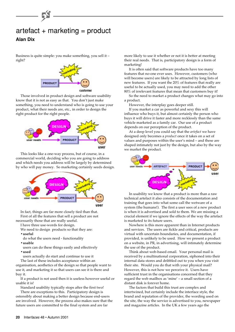

Business is quite simple: you make something, you sell it – right?



Those involved in product design and software usability know that it is not as easy as that. You don't just make something, you need to understand who is going to use your product, what their needs are, etc., in order to design the right product for the right people.



This looks like a one-way process, but of course, in a commercial world, deciding who you are going to address and which needs you address will be largely by determined by who will pay money. So marketing certainly seeds design.



In fact, things are far more closely tied than that. First of all the features that sell a product are not necessarily those that are really useful.

I have three use-words for design.

We need to design products so that they are: **•useful**

- do what the users need functionality
- **•usable**
- users can do these things easily and effectively **•used**

users actually do start and continue to use it

The last of these includes acceptance within an organisation, aesthetics of the design so that people want to use it, and marketing it so that users can see it is there and buy it.

If a product is not used then it is useless however useful or usable it is!

Standard usability typically stops after the first two! There are exceptions to this. Participatory design is ostensibly about making a better design because end-users are involved. However, the process also makes sure that the future users are committed to the final system and are far

more likely to use it whether or not it is better at meeting their real needs. That is, participatory design is a form of marketing!

It is often said that software products have too many features that no-one ever uses. However, customers (who will become users) are likely to be attracted by long lists of new features. If you want the 20% of features that really are useful to be actually used, you may need to add the other 80% of irrelevant features that mean that customers buy it!

So the need to market a product changes what may go into a product.

However, the interplay goes deeper still.

If you market a car as powerful and sexy this will influence who buys it, but almost certainly the person who buys it will drive it faster and more recklessly than the same vehicle marketed as a family car. Our use of a product depends on our perception of the product.

At a deep level you could say that the *artefact* we have designed only becomes a *product* once it takes on a set of values and purposes within the user's mind – and these are shaped intimately not just by the design, but also by the way we market the product.



In usability we know that a product is more than a raw technical artefact it also consists of the documentation and training that goes into what some call the wetware of a system (the humans!). The first a user sees of a new product is when it is advertised and sold to them. We are missing a crucial element if we ignore the effects of the way the artefact is marketed to its future users.

Nowhere is this more apparent than in Internet products and services. The users are fickle and critical, products are virtual with uncertain boundaries, and documentation, if provided, is unlikely to be used. How we present a product on a website, in PR, in advertising, will intimately determine the use of the product.

Think about web-based email. Your personal mail is received by a multinational corporation, siphoned into their internal data stores and dribbled out to you when you visit their site. Would you do that with your physical mail? However, this is not how we perceive it. Users have sufficient trust in the organisations concerned that they regard the web mailbox as 'mine' – a small section of a distant disk is forever home.

The factors that build this trust are complex and intertwined, but certainly include the interface style, the brand and reputation of the provider, the wording used on the site, the way the service is advertised to you, newspaper and magazine articles. In the UK a few years ago the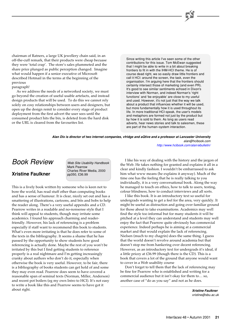chairman of Ratners, a large UK jewellery chain said, in an off-the-cuff remark, that their products were cheap becuase they were 'total crap'. The store's sales plummeted and the share price plunged as public perception changed. Imagine what would happen if a senior executive of Microsoft described Hotmail in the terms at the beginning of the previous

#### paragraph!

As we address the needs of a networked society, we must go beyond the creation of useful usable artefacts, and instead design products that will be used. To do this we cannot rely solely on cosy relationships between users and designers, but open up the design remit to consider every stage of product deployment from the first advert the user sees until the consumed product hits the bin, is deleted from the hard disk or the URL is cleared from the favourites list.

Since writing this article I've seen some of the other contributions for this issue. Tom McEwan suggested that I might be able to write in a bit about breaking frontiers to fit in with the IHM-HCI theme. He is of course dead right, we so easily draw little frontiers and call it HCI: around the screen, the task, even the organisation. I'm arguing here that the frontiers should certainly intersect those of marketing (and even PR). It's good to see similar sentiments echoed in Dixon's interview with Norman, and indeed Norman's 'right functions' and 'be enjoyable' are close to my useful and used. However, it's not just that the way we talk about a product that influences whether it will be used, but more fundamentally how it is used throughout its life. In more traditional HCI-speak, the user's models and metaphors are formed not just by the product but by how it is sold to them. As long as users read adverts, hear news stories and talk to salesmen, these are part of the human–system interaction.

**Alan Dix is director of two internet companies, vfridge and aQtive and a professor at Lancaster University** alan@hcibook.com

<http://www.hcibook.com/alan/ebulletin/>

### Book Review

### **Xristine Faulkner**

Web Site Usability Handbook Mark Pearrow Charles River Media, 2000 pp350, £36.99

This is a lively book written by someone who is keen not to bore the world, has read stuff other than computing books and has a sense of humour. It is clear, nicely set out and has a smattering of illustrations, cartoons, and bits and bobs to help the reader along. There's a very useful appendix and a CD. Pearrow writes in a readable and no-nonsense style that I think will appeal to students, though may irritate some academics. I found his approach charming and readerfriendly. However, his lack of referencing is a problem especially if staff want to recommend this book to students. What's even more irritating is that he does refer to some of the texts in the bibliography. It seems a shame that he has passed by the opportunity to show students how good referencing is actually done. Maybe the rest of you won't be irritated by this but I find getting students to reference properly is a real nightmare and I'm getting increasingly cranky about authors who don't do it, especially when otherwise the book is very useful. However, to be fair, there is a bibliography of books students can get hold of and some they may even read. Pearrow does seem to have covered a reasonable span of seminal texts (Norman, Miller, Anderson) and recent pot boilers (eg my own Intro to HCI). It's not easy to write a book like this and Pearrow seems to have got it about right.

I like his way of dealing with the history and the jargon of the Web. He takes nothing for granted and explains it all in a clear and kindly fashion. I wouldn't be embarrassed to ask him what www means (he explains it anyway). Much of the time one has the feeling that he is really talking to you individually, it is a very conversational book. Along the way he managed to touch on ethics, how to talk to users, testing, colour blindness, how to conduct interviews and all sorts.

I like this book. It is an introductory text so useful for undergrads wanting to get a feel for the area, very quickly. It might be useful as distraction and going over familiar ground for those about to take examinations. Academics may well find the style too informal but for many students it will be pitched at a level they can understand and students may well enjoy the fact that Pearrow quite obviously has commercial experience. Indeed perhaps he is aiming at a commercial market and that would explain the lack of referencing. Nielsen (much to my chagrin) does the same thing. I guess that the world doesn't revolve around academia but that doesn't stop me from hankering over decent referencing. However, as an introductory text for undergrads it's ideal, if a little pricey at £36.99 (though there is the CD). This is a book that covers a lot of the ground that anyone would want to cover in a Web usability course

Don't forget to tell them that the lack of referencing may be fine for Pearrow who is established and writing for a commercial audience but it isn't okay for them to… so, another case of "do as you say" and not as he does.

> **Xristine Faulkner** xristine@sbu.ac.uk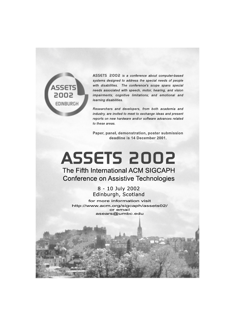

ASSETS 2002 is a conference about computer-based systems designed to address the special needs of people with disabilities. The conference's scope spans special needs associated with speech, motor, hearing, and vision impairments; cognitive limitations; and emotional and learning disabilities.

Researchers and developers, from both academia and industry, are invited to meet to exchange ideas and present reports on new hardware and/or software advances related to these areas.

Paper, panel, demonstration, poster submission deadline is 14 December 2001.

# **ASSETS 2002** The Fifth International ACM SIGCAPH **Conference on Assistive Technologies**

8 - 10 July 2002 Edinburgh, Scotland for more information visit http://www.acm.org/sigcaph/assets02/ or email asears@umbc.edu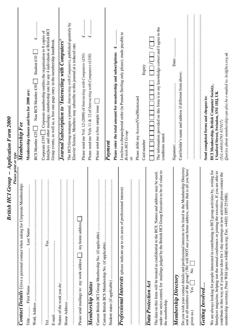| <b>Please print or type</b>                                                                                                                                                                                                                                                                                                                                                                          |                                                                                                                                                                                             |
|------------------------------------------------------------------------------------------------------------------------------------------------------------------------------------------------------------------------------------------------------------------------------------------------------------------------------------------------------------------------------------------------------|---------------------------------------------------------------------------------------------------------------------------------------------------------------------------------------------|
| Contact Details (Give a personal contact when asking for Corporate Membership)                                                                                                                                                                                                                                                                                                                       | Membership F ee                                                                                                                                                                             |
| Title .                                                                                                                                                                                                                                                                                                                                                                                              | Membership classes and fees for 2000 are:                                                                                                                                                   |
| $\vdots$<br>Work Address                                                                                                                                                                                                                                                                                                                                                                             | Student £10<br>Non BCS Member £30<br><b>BCS Member £25</b>                                                                                                                                  |
| $\vdots$<br>$\vdots$<br>Fax.<br>Tel                                                                                                                                                                                                                                                                                                                                                                  | Interfaces and other mailings; membership rate for any 4 individuals at British HCI<br>Corporate £195 $\Box$ Corporate membership entitles the organisation to 8 copies of                  |
| E-mail.                                                                                                                                                                                                                                                                                                                                                                                              | Group events, as well as, a free one-page entry in the membership handbook.                                                                                                                 |
| ŧ                                                                                                                                                                                                                                                                                                                                                                                                    | Journal Subscription to 'Interacting with Computers'                                                                                                                                        |
| $\vdots$<br>$\vdots$                                                                                                                                                                                                                                                                                                                                                                                 | The HCI Group manages a journal, Interacting with Computers, published quarterly by<br>Elsevier Science. Members may subscribe to this journal at a reduced rate.                           |
| $\pm$ ; my home address<br>Please send mailings to: my work address [                                                                                                                                                                                                                                                                                                                                | <br>$\overline{\mathbf{r}}$<br>Please send me Vol. 12 (2000) of Interacting with Computers (£50)                                                                                            |
| Membership Status                                                                                                                                                                                                                                                                                                                                                                                    | :::::::::::<br>$\rightarrow$<br>Please send me Vols 11 & 12 of Interacting with Computers (£100)                                                                                            |
| $\vdots$                                                                                                                                                                                                                                                                                                                                                                                             | Please send me a free sample issue                                                                                                                                                          |
| $\vdots$                                                                                                                                                                                                                                                                                                                                                                                             | Payment                                                                                                                                                                                     |
| $\vdots$                                                                                                                                                                                                                                                                                                                                                                                             | $\ddot{\bullet}$<br>Please enter the total amount for membership and subscriptions                                                                                                          |
| Professional Interests (please indicate up to six areas of professional interest)                                                                                                                                                                                                                                                                                                                    | I enclose a cheque/postal order (in Pounds Sterling only please), made payable to<br>British HCI Group                                                                                      |
| $\vdots$<br>$\vdots$                                                                                                                                                                                                                                                                                                                                                                                 | Please debit my Access/Visa/Mastercard<br>ð                                                                                                                                                 |
| Data Protection Act                                                                                                                                                                                                                                                                                                                                                                                  | Expiry<br>Card number                                                                                                                                                                       |
| value to<br>The data on this form will be treated as confidential to the BCS. Names and address may be used.<br>under our strict control, for mailings judged by the British HCI Group Executive to be of<br>the membership.                                                                                                                                                                         | The information provided on this form is to my knowledge correct and I agree to the<br>conditions stated.                                                                                   |
| Membership Directory                                                                                                                                                                                                                                                                                                                                                                                 | Date:                                                                                                                                                                                       |
| Do you wish your contact details and professional interests to be listed in the Membership Directory<br>you have<br>sent to all members of the group? (We will NOT use your home address, unless that is all<br>$\stackrel{\mathtt{o}}{\mathsf{z}}$<br>Yes <sub>l</sub><br>given us.)                                                                                                                | Card holder's name and address if different from above:                                                                                                                                     |
| <b>Getting Involved</b>                                                                                                                                                                                                                                                                                                                                                                              | Send completed forms and cheques to:                                                                                                                                                        |
| We are always looking for people interested in contributing to HCI group activities by, writing for<br>Interfaces magazine, helping run the annual conference or joining the executive. If you are able to<br>contribute in this way or if you have ideas for 1-day meetings or new activities please contact the<br>membership secretary, Peter Wild (peter.wild@acm.org; Fax. +44(0) 1895 251686). | Queries about membership can also be e-mailed to: hci@bcs.org.uk<br><b>HCI Membership, British Computer Society,</b><br>1 Sanford Street, Swindon, SN1 1HJ, UK<br>$(Tel + 44(0)1793417417)$ |

*British HCI Group – Application Form 2000*

British HCI Group - Application Form 2000